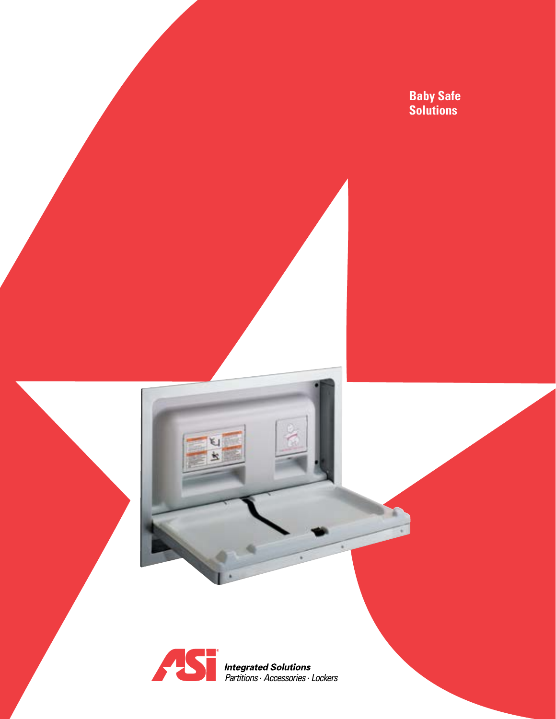**Baby Safe Solutions**



ĸ.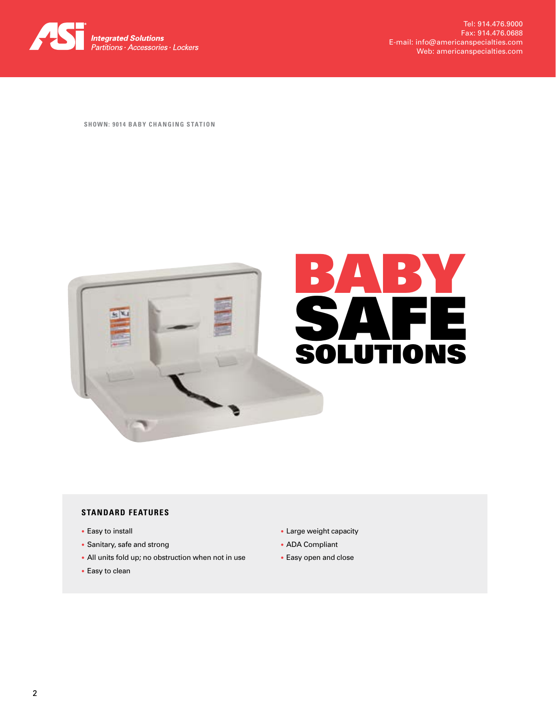

**SHOWN: 9014 BABY CHANGING STATION**



# **STANDARD FEATURES**

- Easy to install
- Sanitary, safe and strong
- All units fold up; no obstruction when not in use
- Easy to clean
- Large weight capacity
- ADA Compliant
- Easy open and close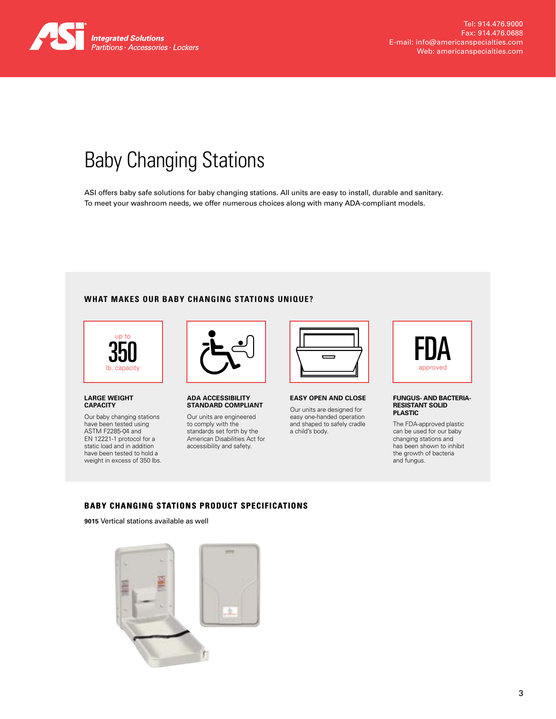

# Baby Changing Stations

ASI offers baby safe solutions for baby changing stations. All units are easy to install, durable and sanitary. To meet your washroom needs, we offer numerous choices along with many ADA-compliant models.

# **WHAT MAKES OUR BABY CHANGING STATIONS UNIQUE?**



## **LARGE WEIGHT CAPACITY**

Our baby changing stations have been tested using ASTM F2285-04 and EN 12221-1 protocol for a static load and in addition have been tested to hold a weight in excess of 350 lbs.



**ADA ACCESSIBILITY STANDARD COMPLIANT**

Our units are engineered to comply with the standards set forth by the American Disabilities Act for accessibility and safety.



**EASY OPEN AND CLOSE**

Our units are designed for easy one-handed operation and shaped to safely cradle a child's body.



### **FUNGUS- AND BACTERIA-RESISTANT SOLID PLASTIC**

The FDA-approved plastic can be used for our baby changing stations and has been shown to inhibit the growth of bacteria and fungus.

# **BABY CHANGING STATIONS PRODUCT SPECIFICATIONS**

**9015** Vertical stations available as well

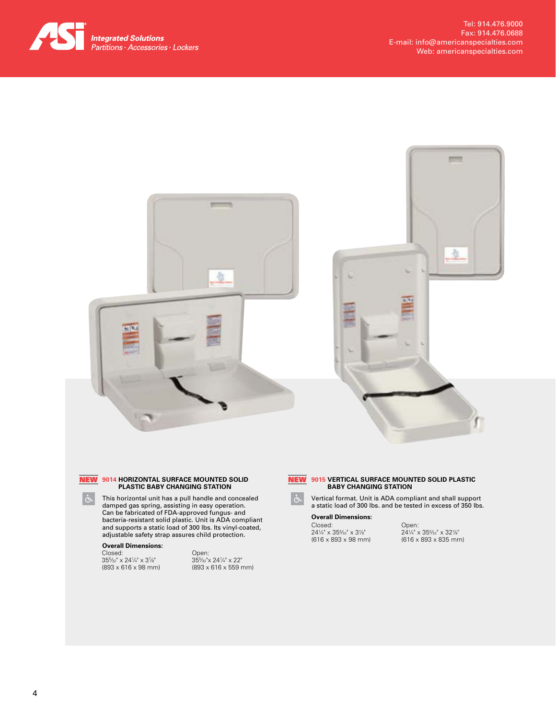





### **9015 VERTICAL SURFACE MOUNTED SOLID PLASTIC**  NEW**BABY CHANGING STATION**

Vertical format. Unit is ADA compliant and shall support a static load of 300 lbs. and be tested in excess of 350 lbs.

### **Overall Dimensions:**

Closed: 241 ⁄4" x 355 ⁄32" x 37 ⁄8" (616 x 893 x 98 mm)

Open: 241 ⁄4" x 355 ⁄32" x 327 ⁄8" (616 x 893 x 835 mm)

 $\mathring{\mathcal{C}}$ 

### **9014 HORIZONTAL SURFACE MOUNTED SOLID**  NEW **PLASTIC BABY CHANGING STATION**

This horizontal unit has a pull handle and concealed damped gas spring, assisting in easy operation. Can be fabricated of FDA-approved fungus- and bacteria-resistant solid plastic. Unit is ADA compliant and supports a static load of 300 lbs. Its vinyl-coated, adjustable safety strap assures child protection.

# **Overall Dimensions:**

Closed: 355 ⁄32" x 241 ⁄4" x 37 ⁄8" (893 x 616 x 98 mm) Open: 355 ⁄32"x 241 ⁄4" x 22" (893 x 616 x 559 mm)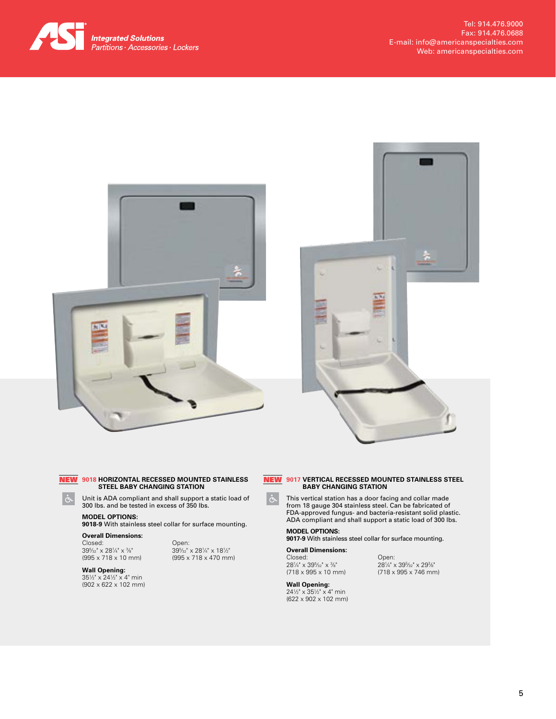





### **9018 HORIZONTAL RECESSED MOUNTED STAINLESS**  NEW **STEEL BABY CHANGING STATION**

Unit is ADA compliant and shall support a static load of 300 lbs. and be tested in excess of 350 lbs.

# **MODEL OPTIONS:**

**9018-9** With stainless steel collar for surface mounting.

**Overall Dimensions:** Closed: 395 ⁄32" x 281 ⁄4" x 3 ⁄8" (995 x 718 x 10 mm)

Open: 395 ⁄32" x 281 ⁄4" x 181 ⁄2" (995 x 718 x 470 mm)

**Wall Opening:**<br>35½" x 24½" x 4" min (902 x 622 x 102 mm)

### **9017 VERTICAL RECESSED MOUNTED STAINLESS STEEL**  NEW **BABY CHANGING STATION**

This vertical station has a door facing and collar made from 18 gauge 304 stainless steel. Can be fabricated of FDA-approved fungus- and bacteria-resistant solid plastic. ADA compliant and shall support a static load of 300 lbs.

> Open: 281 ⁄4" x 395 ⁄32" x 293 ⁄8" (718 x 995 x 746 mm)

# **MODEL OPTIONS:**

**9017-9** With stainless steel collar for surface mounting.

# **Overall Dimensions:**

Closed: 281 ⁄4" x 395 ⁄32" x 3 ⁄8" (718 x 995 x 10 mm)

# **Wall Opening:**

241 ⁄2" x 351 ⁄2" x 4" min (622 x 902 x 102 mm)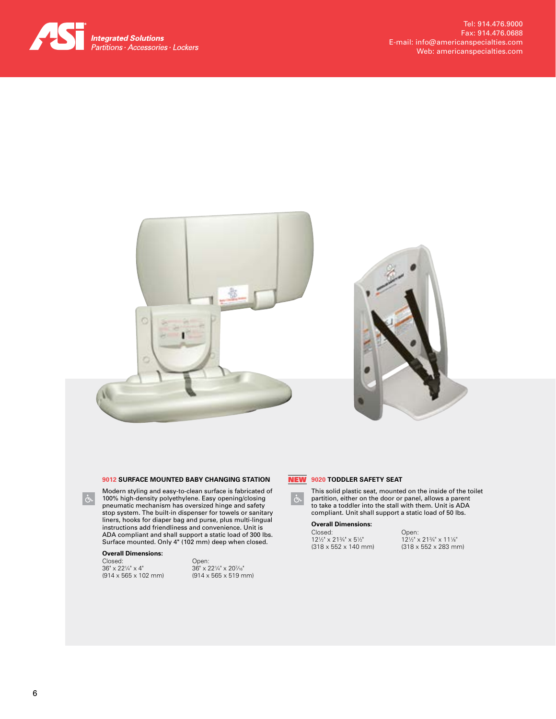



# **9012 SURFACE MOUNTED BABY CHANGING STATION**

Modern styling and easy-to-clean surface is fabricated of 100% high-density polyethylene. Easy opening/closing pneumatic mechanism has oversized hinge and safety stop system. The built-in dispenser for towels or sanitary liners, hooks for diaper bag and purse, plus multi-lingual instructions add friendliness and convenience. Unit is ADA compliant and shall support a static load of 300 lbs. Surface mounted. Only 4" (102 mm) deep when closed.

# **Overall Dimensions:**

 $\mathfrak{F}$ 

Closed: 36" x 221 ⁄4" x 4" (914 x 565 x 102 mm)

Open:<br>36" x 22¼" x 20¼s" (914 x 565 x 519 mm)



**9020 TODDLER SAFETY SEAT** NEW

This solid plastic seat, mounted on the inside of the toilet partition, either on the door or panel, allows a parent to take a toddler into the stall with them. Unit is ADA compliant. Unit shall support a static load of 50 lbs.

# **Overall Dimensions:**

Closed: 121 ⁄2" x 213 ⁄4" x 51 ⁄2" (318 x 552 x 140 mm) Open: 121 ⁄2" x 213 ⁄4" x 111 ⁄8" (318 x 552 x 283 mm)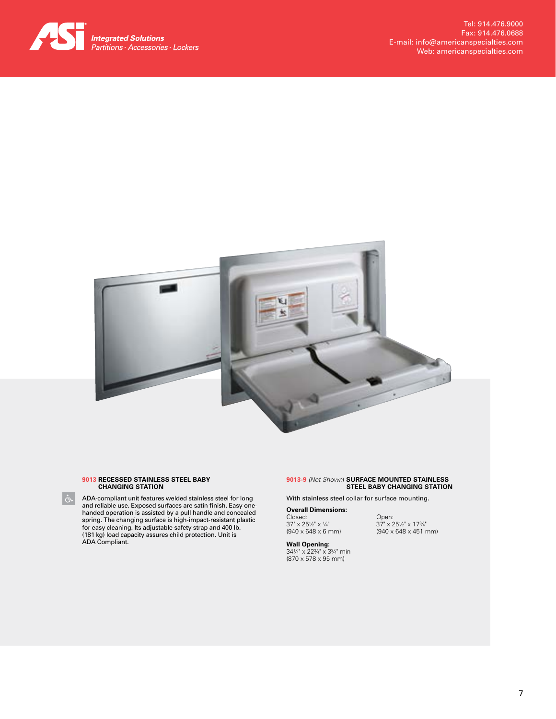



## **9013 RECESSED STAINLESS STEEL BABY CHANGING STATION**

ADA-compliant unit features welded stainless steel for long and reliable use. Exposed surfaces are satin finish. Easy onehanded operation is assisted by a pull handle and concealed spring. The changing surface is high-impact-resistant plastic for easy cleaning. Its adjustable safety strap and 400 lb. (181 kg) load capacity assures child protection. Unit is ADA Compliant.

## **9013-9** *(Not Shown*) **SURFACE MOUNTED STAINLESS STEEL BABY CHANGING STATION**

With stainless steel collar for surface mounting.

### **Overall Dimensions:** Closed: 37" x 251 ⁄2" x 1 ⁄4" (940 x 648 x 6 mm)

Open: 37" x 251 ⁄2" x 173 ⁄4" (940 x 648 x 451 mm)

**Wall Opening:**<br>34¼" x 22¾" x 3¾" min (870 x 578 x 95 mm)